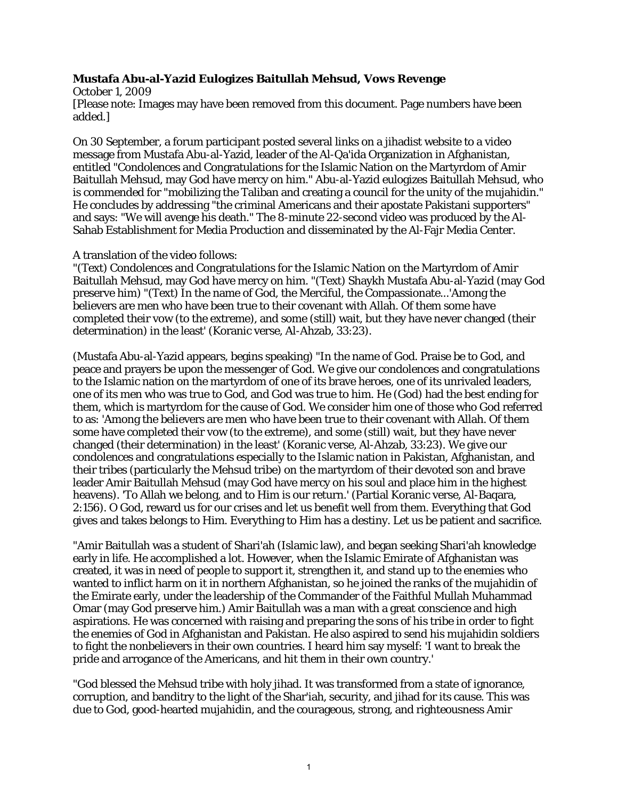## **Mustafa Abu-al-Yazid Eulogizes Baitullah Mehsud, Vows Revenge**

October 1, 2009 [Please note: Images may have been removed from this document. Page numbers have been added.]

On 30 September, a forum participant posted several links on a jihadist website to a video message from Mustafa Abu-al-Yazid, leader of the Al-Qa'ida Organization in Afghanistan, entitled "Condolences and Congratulations for the Islamic Nation on the Martyrdom of Amir Baitullah Mehsud, may God have mercy on him." Abu-al-Yazid eulogizes Baitullah Mehsud, who is commended for "mobilizing the Taliban and creating a council for the unity of the mujahidin." He concludes by addressing "the criminal Americans and their apostate Pakistani supporters" and says: "We will avenge his death." The 8-minute 22-second video was produced by the Al-Sahab Establishment for Media Production and disseminated by the Al-Fajr Media Center.

## A translation of the video follows:

"(Text) Condolences and Congratulations for the Islamic Nation on the Martyrdom of Amir Baitullah Mehsud, may God have mercy on him. "(Text) Shaykh Mustafa Abu-al-Yazid (may God preserve him) "(Text) In the name of God, the Merciful, the Compassionate...'Among the believers are men who have been true to their covenant with Allah. Of them some have completed their vow (to the extreme), and some (still) wait, but they have never changed (their determination) in the least' (Koranic verse, Al-Ahzab, 33:23).

(Mustafa Abu-al-Yazid appears, begins speaking) "In the name of God. Praise be to God, and peace and prayers be upon the messenger of God. We give our condolences and congratulations to the Islamic nation on the martyrdom of one of its brave heroes, one of its unrivaled leaders, one of its men who was true to God, and God was true to him. He (God) had the best ending for them, which is martyrdom for the cause of God. We consider him one of those who God referred to as: 'Among the believers are men who have been true to their covenant with Allah. Of them some have completed their vow (to the extreme), and some (still) wait, but they have never changed (their determination) in the least' (Koranic verse, Al-Ahzab, 33:23). We give our condolences and congratulations especially to the Islamic nation in Pakistan, Afghanistan, and their tribes (particularly the Mehsud tribe) on the martyrdom of their devoted son and brave leader Amir Baitullah Mehsud (may God have mercy on his soul and place him in the highest heavens). 'To Allah we belong, and to Him is our return.' (Partial Koranic verse, Al-Baqara, 2:156). O God, reward us for our crises and let us benefit well from them. Everything that God gives and takes belongs to Him. Everything to Him has a destiny. Let us be patient and sacrifice.

"Amir Baitullah was a student of Shari'ah (Islamic law), and began seeking Shari'ah knowledge early in life. He accomplished a lot. However, when the Islamic Emirate of Afghanistan was created, it was in need of people to support it, strengthen it, and stand up to the enemies who wanted to inflict harm on it in northern Afghanistan, so he joined the ranks of the mujahidin of the Emirate early, under the leadership of the Commander of the Faithful Mullah Muhammad Omar (may God preserve him.) Amir Baitullah was a man with a great conscience and high aspirations. He was concerned with raising and preparing the sons of his tribe in order to fight the enemies of God in Afghanistan and Pakistan. He also aspired to send his mujahidin soldiers to fight the nonbelievers in their own countries. I heard him say myself: 'I want to break the pride and arrogance of the Americans, and hit them in their own country.'

"God blessed the Mehsud tribe with holy jihad. It was transformed from a state of ignorance, corruption, and banditry to the light of the Shar'iah, security, and jihad for its cause. This was due to God, good-hearted mujahidin, and the courageous, strong, and righteousness Amir